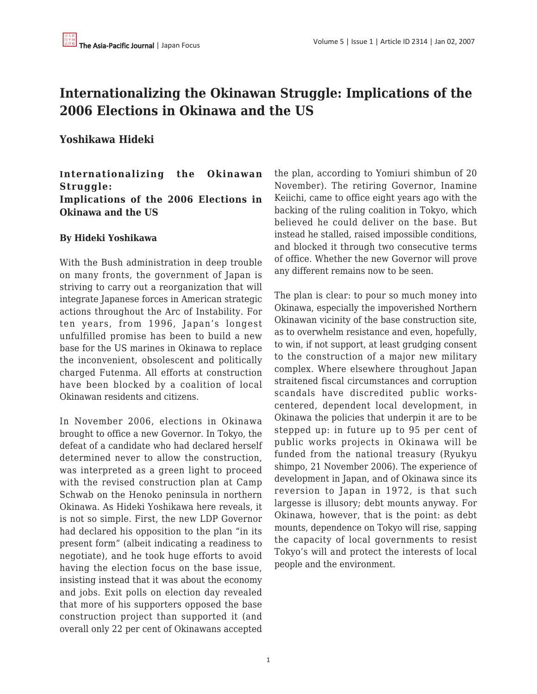# **Internationalizing the Okinawan Struggle: Implications of the 2006 Elections in Okinawa and the US**

## **Yoshikawa Hideki**

### **Internationalizing the Okinawan Struggle: Implications of the 2006 Elections in Okinawa and the US**

#### **By Hideki Yoshikawa**

With the Bush administration in deep trouble on many fronts, the government of Japan is striving to carry out a reorganization that will integrate Japanese forces in American strategic actions throughout the Arc of Instability. For ten years, from 1996, Japan's longest unfulfilled promise has been to build a new base for the US marines in Okinawa to replace the inconvenient, obsolescent and politically charged Futenma. All efforts at construction have been blocked by a coalition of local Okinawan residents and citizens.

In November 2006, elections in Okinawa brought to office a new Governor. In Tokyo, the defeat of a candidate who had declared herself determined never to allow the construction, was interpreted as a green light to proceed with the revised construction plan at Camp Schwab on the Henoko peninsula in northern Okinawa. As Hideki Yoshikawa here reveals, it is not so simple. First, the new LDP Governor had declared his opposition to the plan "in its present form" (albeit indicating a readiness to negotiate), and he took huge efforts to avoid having the election focus on the base issue, insisting instead that it was about the economy and jobs. Exit polls on election day revealed that more of his supporters opposed the base construction project than supported it (and overall only 22 per cent of Okinawans accepted the plan, according to Yomiuri shimbun of 20 November). The retiring Governor, Inamine Keiichi, came to office eight years ago with the backing of the ruling coalition in Tokyo, which believed he could deliver on the base. But instead he stalled, raised impossible conditions, and blocked it through two consecutive terms of office. Whether the new Governor will prove any different remains now to be seen.

The plan is clear: to pour so much money into Okinawa, especially the impoverished Northern Okinawan vicinity of the base construction site, as to overwhelm resistance and even, hopefully, to win, if not support, at least grudging consent to the construction of a major new military complex. Where elsewhere throughout Japan straitened fiscal circumstances and corruption scandals have discredited public workscentered, dependent local development, in Okinawa the policies that underpin it are to be stepped up: in future up to 95 per cent of public works projects in Okinawa will be funded from the national treasury (Ryukyu shimpo, 21 November 2006). The experience of development in Japan, and of Okinawa since its reversion to Japan in 1972, is that such largesse is illusory; debt mounts anyway. For Okinawa, however, that is the point: as debt mounts, dependence on Tokyo will rise, sapping the capacity of local governments to resist Tokyo's will and protect the interests of local people and the environment.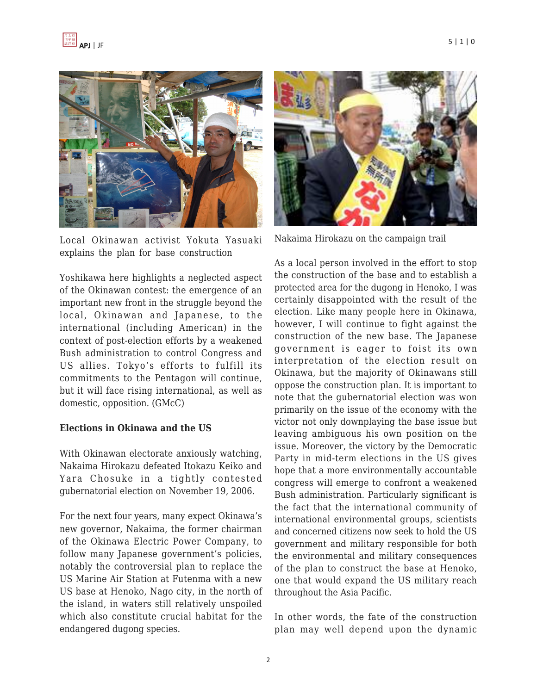

Local Okinawan activist Yokuta Yasuaki explains the plan for base construction

Yoshikawa here highlights a neglected aspect of the Okinawan contest: the emergence of an important new front in the struggle beyond the local, Okinawan and Japanese, to the international (including American) in the context of post-election efforts by a weakened Bush administration to control Congress and US allies. Tokyo's efforts to fulfill its commitments to the Pentagon will continue, but it will face rising international, as well as domestic, opposition. (GMcC)

#### **Elections in Okinawa and the US**

With Okinawan electorate anxiously watching, Nakaima Hirokazu defeated Itokazu Keiko and Yara Chosuke in a tightly contested gubernatorial election on November 19, 2006.

For the next four years, many expect Okinawa's new governor, Nakaima, the former chairman of the Okinawa Electric Power Company, to follow many Japanese government's policies, notably the controversial plan to replace the US Marine Air Station at Futenma with a new US base at Henoko, Nago city, in the north of the island, in waters still relatively unspoiled which also constitute crucial habitat for the endangered dugong species.



Nakaima Hirokazu on the campaign trail

As a local person involved in the effort to stop the construction of the base and to establish a protected area for the dugong in Henoko, I was certainly disappointed with the result of the election. Like many people here in Okinawa, however, I will continue to fight against the construction of the new base. The Japanese government is eager to foist its own interpretation of the election result on Okinawa, but the majority of Okinawans still oppose the construction plan. It is important to note that the gubernatorial election was won primarily on the issue of the economy with the victor not only downplaying the base issue but leaving ambiguous his own position on the issue. Moreover, the victory by the Democratic Party in mid-term elections in the US gives hope that a more environmentally accountable congress will emerge to confront a weakened Bush administration. Particularly significant is the fact that the international community of international environmental groups, scientists and concerned citizens now seek to hold the US government and military responsible for both the environmental and military consequences of the plan to construct the base at Henoko, one that would expand the US military reach throughout the Asia Pacific.

In other words, the fate of the construction plan may well depend upon the dynamic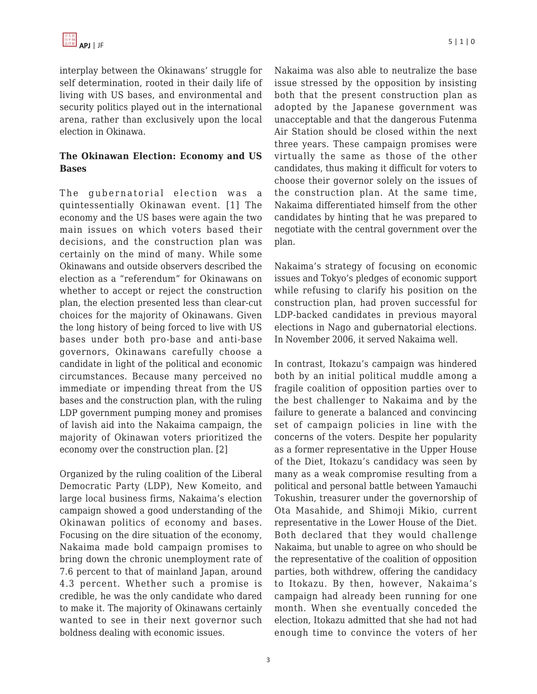interplay between the Okinawans' struggle for self determination, rooted in their daily life of living with US bases, and environmental and security politics played out in the international arena, rather than exclusively upon the local election in Okinawa.

#### **The Okinawan Election: Economy and US Bases**

The gubernatorial election was a quintessentially Okinawan event. [1] The economy and the US bases were again the two main issues on which voters based their decisions, and the construction plan was certainly on the mind of many. While some Okinawans and outside observers described the election as a "referendum" for Okinawans on whether to accept or reject the construction plan, the election presented less than clear-cut choices for the majority of Okinawans. Given the long history of being forced to live with US bases under both pro-base and anti-base governors, Okinawans carefully choose a candidate in light of the political and economic circumstances. Because many perceived no immediate or impending threat from the US bases and the construction plan, with the ruling LDP government pumping money and promises of lavish aid into the Nakaima campaign, the majority of Okinawan voters prioritized the economy over the construction plan. [2]

Organized by the ruling coalition of the Liberal Democratic Party (LDP), New Komeito, and large local business firms, Nakaima's election campaign showed a good understanding of the Okinawan politics of economy and bases. Focusing on the dire situation of the economy, Nakaima made bold campaign promises to bring down the chronic unemployment rate of 7.6 percent to that of mainland Japan, around 4.3 percent. Whether such a promise is credible, he was the only candidate who dared to make it. The majority of Okinawans certainly wanted to see in their next governor such boldness dealing with economic issues.

Nakaima was also able to neutralize the base issue stressed by the opposition by insisting both that the present construction plan as adopted by the Japanese government was unacceptable and that the dangerous Futenma Air Station should be closed within the next three years. These campaign promises were virtually the same as those of the other candidates, thus making it difficult for voters to choose their governor solely on the issues of the construction plan. At the same time, Nakaima differentiated himself from the other candidates by hinting that he was prepared to negotiate with the central government over the plan.

Nakaima's strategy of focusing on economic issues and Tokyo's pledges of economic support while refusing to clarify his position on the construction plan, had proven successful for LDP-backed candidates in previous mayoral elections in Nago and gubernatorial elections. In November 2006, it served Nakaima well.

In contrast, Itokazu's campaign was hindered both by an initial political muddle among a fragile coalition of opposition parties over to the best challenger to Nakaima and by the failure to generate a balanced and convincing set of campaign policies in line with the concerns of the voters. Despite her popularity as a former representative in the Upper House of the Diet, Itokazu's candidacy was seen by many as a weak compromise resulting from a political and personal battle between Yamauchi Tokushin, treasurer under the governorship of Ota Masahide, and Shimoji Mikio, current representative in the Lower House of the Diet. Both declared that they would challenge Nakaima, but unable to agree on who should be the representative of the coalition of opposition parties, both withdrew, offering the candidacy to Itokazu. By then, however, Nakaima's campaign had already been running for one month. When she eventually conceded the election, Itokazu admitted that she had not had enough time to convince the voters of her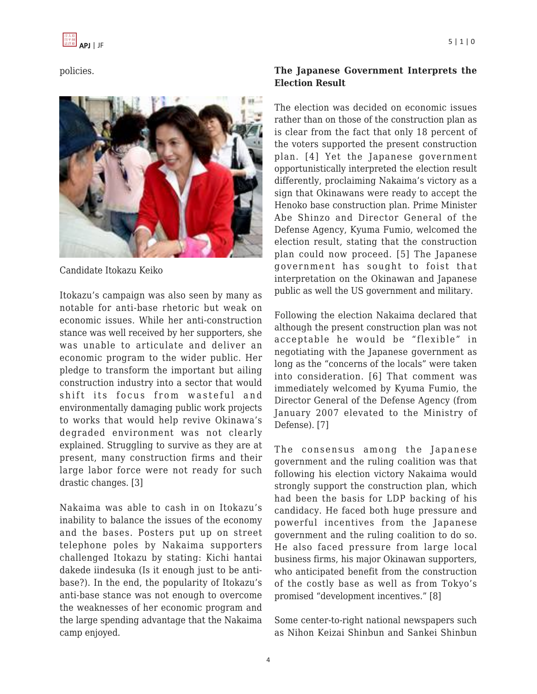policies.



Candidate Itokazu Keiko

Itokazu's campaign was also seen by many as notable for anti-base rhetoric but weak on economic issues. While her anti-construction stance was well received by her supporters, she was unable to articulate and deliver an economic program to the wider public. Her pledge to transform the important but ailing construction industry into a sector that would shift its focus from wasteful and environmentally damaging public work projects to works that would help revive Okinawa's degraded environment was not clearly explained. Struggling to survive as they are at present, many construction firms and their large labor force were not ready for such drastic changes. [3]

Nakaima was able to cash in on Itokazu's inability to balance the issues of the economy and the bases. Posters put up on street telephone poles by Nakaima supporters challenged Itokazu by stating: Kichi hantai dakede iindesuka (Is it enough just to be antibase?). In the end, the popularity of Itokazu's anti-base stance was not enough to overcome the weaknesses of her economic program and the large spending advantage that the Nakaima camp enjoyed.

## **The Japanese Government Interprets the Election Result**

The election was decided on economic issues rather than on those of the construction plan as is clear from the fact that only 18 percent of the voters supported the present construction plan. [4] Yet the Japanese government opportunistically interpreted the election result differently, proclaiming Nakaima's victory as a sign that Okinawans were ready to accept the Henoko base construction plan. Prime Minister Abe Shinzo and Director General of the Defense Agency, Kyuma Fumio, welcomed the election result, stating that the construction plan could now proceed. [5] The Japanese government has sought to foist that interpretation on the Okinawan and Japanese public as well the US government and military.

Following the election Nakaima declared that although the present construction plan was not acceptable he would be "flexible" in negotiating with the Japanese government as long as the "concerns of the locals" were taken into consideration. [6] That comment was immediately welcomed by Kyuma Fumio, the Director General of the Defense Agency (from January 2007 elevated to the Ministry of Defense). [7]

The consensus among the Japanese government and the ruling coalition was that following his election victory Nakaima would strongly support the construction plan, which had been the basis for LDP backing of his candidacy. He faced both huge pressure and powerful incentives from the Japanese government and the ruling coalition to do so. He also faced pressure from large local business firms, his major Okinawan supporters, who anticipated benefit from the construction of the costly base as well as from Tokyo's promised "development incentives." [8]

Some center-to-right national newspapers such as Nihon Keizai Shinbun and Sankei Shinbun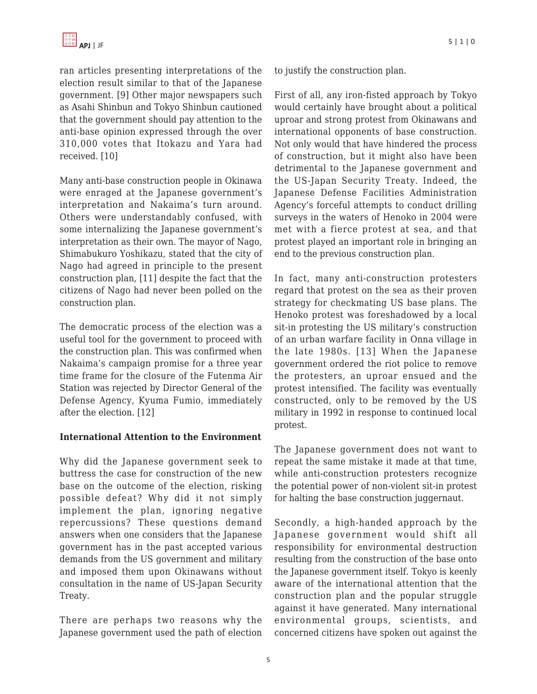ran articles presenting interpretations of the election result similar to that of the Japanese government. [9] Other major newspapers such as Asahi Shinbun and Tokyo Shinbun cautioned that the government should pay attention to the anti-base opinion expressed through the over 310,000 votes that Itokazu and Yara had received. [10]

Many anti-base construction people in Okinawa were enraged at the Japanese government's interpretation and Nakaima's turn around. Others were understandably confused, with some internalizing the Japanese government's interpretation as their own. The mayor of Nago, Shimabukuro Yoshikazu, stated that the city of Nago had agreed in principle to the present construction plan, [11] despite the fact that the citizens of Nago had never been polled on the construction plan.

The democratic process of the election was a useful tool for the government to proceed with the construction plan. This was confirmed when Nakaima's campaign promise for a three year time frame for the closure of the Futenma Air Station was rejected by Director General of the Defense Agency, Kyuma Fumio, immediately after the election. [12]

#### **International Attention to the Environment**

Why did the Japanese government seek to buttress the case for construction of the new base on the outcome of the election, risking possible defeat? Why did it not simply implement the plan, ignoring negative repercussions? These questions demand answers when one considers that the Japanese government has in the past accepted various demands from the US government and military and imposed them upon Okinawans without consultation in the name of US-Japan Security Treaty.

There are perhaps two reasons why the Japanese government used the path of election to justify the construction plan.

First of all, any iron-fisted approach by Tokyo would certainly have brought about a political uproar and strong protest from Okinawans and international opponents of base construction. Not only would that have hindered the process of construction, but it might also have been detrimental to the Japanese government and the US-Japan Security Treaty. Indeed, the Japanese Defense Facilities Administration Agency's forceful attempts to conduct drilling surveys in the waters of Henoko in 2004 were met with a fierce protest at sea, and that protest played an important role in bringing an end to the previous construction plan.

In fact, many anti-construction protesters regard that protest on the sea as their proven strategy for checkmating US base plans. The Henoko protest was foreshadowed by a local sit-in protesting the US military's construction of an urban warfare facility in Onna village in the late 1980s. [13] When the Japanese government ordered the riot police to remove the protesters, an uproar ensued and the protest intensified. The facility was eventually constructed, only to be removed by the US military in 1992 in response to continued local protest.

The Japanese government does not want to repeat the same mistake it made at that time, while anti-construction protesters recognize the potential power of non-violent sit-in protest for halting the base construction juggernaut.

Secondly, a high-handed approach by the Japanese government would shift all responsibility for environmental destruction resulting from the construction of the base onto the Japanese government itself. Tokyo is keenly aware of the international attention that the construction plan and the popular struggle against it have generated. Many international environmental groups, scientists, and concerned citizens have spoken out against the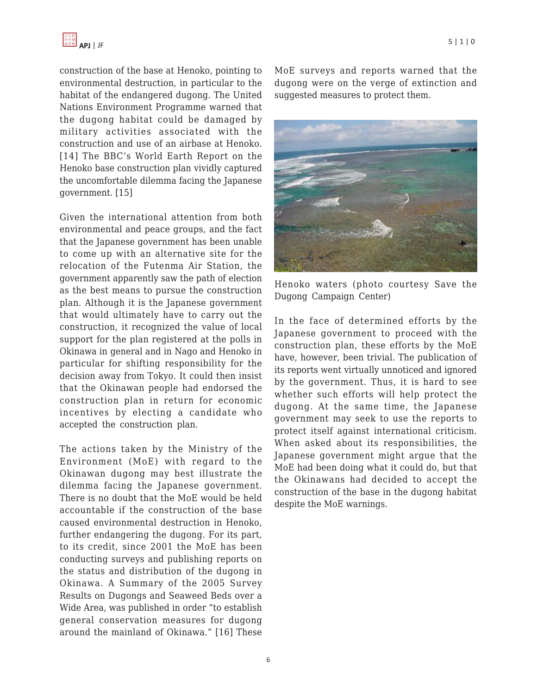construction of the base at Henoko, pointing to environmental destruction, in particular to the habitat of the endangered dugong. The United Nations Environment Programme warned that the dugong habitat could be damaged by military activities associated with the construction and use of an airbase at Henoko. [14] The BBC's World Earth Report on the Henoko base construction plan vividly captured the uncomfortable dilemma facing the Japanese government. [15]

Given the international attention from both environmental and peace groups, and the fact that the Japanese government has been unable to come up with an alternative site for the relocation of the Futenma Air Station, the government apparently saw the path of election as the best means to pursue the construction plan. Although it is the Japanese government that would ultimately have to carry out the construction, it recognized the value of local support for the plan registered at the polls in Okinawa in general and in Nago and Henoko in particular for shifting responsibility for the decision away from Tokyo. It could then insist that the Okinawan people had endorsed the construction plan in return for economic incentives by electing a candidate who accepted the construction plan.

The actions taken by the Ministry of the Environment (MoE) with regard to the Okinawan dugong may best illustrate the dilemma facing the Japanese government. There is no doubt that the MoE would be held accountable if the construction of the base caused environmental destruction in Henoko, further endangering the dugong. For its part, to its credit, since 2001 the MoE has been conducting surveys and publishing reports on the status and distribution of the dugong in Okinawa. A Summary of the 2005 Survey Results on Dugongs and Seaweed Beds over a Wide Area, was published in order "to establish general conservation measures for dugong around the mainland of Okinawa." [16] These MoE surveys and reports warned that the dugong were on the verge of extinction and suggested measures to protect them.



Henoko waters (photo courtesy Save the Dugong Campaign Center)

In the face of determined efforts by the Japanese government to proceed with the construction plan, these efforts by the MoE have, however, been trivial. The publication of its reports went virtually unnoticed and ignored by the government. Thus, it is hard to see whether such efforts will help protect the dugong. At the same time, the Japanese government may seek to use the reports to protect itself against international criticism. When asked about its responsibilities, the Japanese government might argue that the MoE had been doing what it could do, but that the Okinawans had decided to accept the construction of the base in the dugong habitat despite the MoE warnings.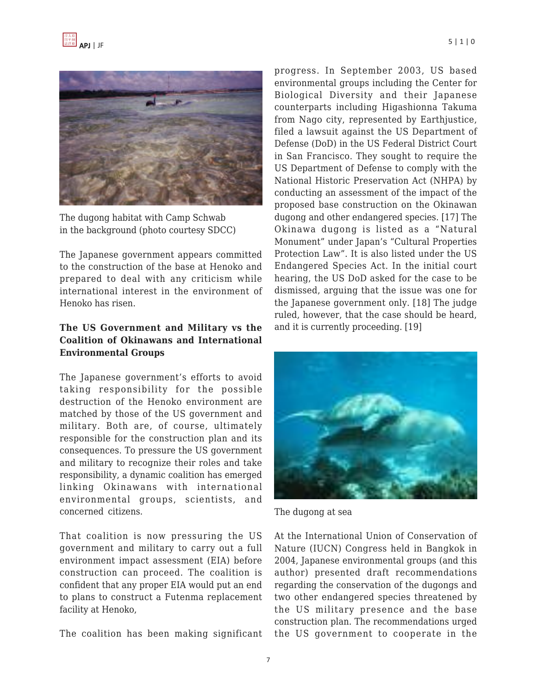

The dugong habitat with Camp Schwab in the background (photo courtesy SDCC)

The Japanese government appears committed to the construction of the base at Henoko and prepared to deal with any criticism while international interest in the environment of Henoko has risen.

#### **The US Government and Military vs the Coalition of Okinawans and International Environmental Groups**

The Japanese government's efforts to avoid taking responsibility for the possible destruction of the Henoko environment are matched by those of the US government and military. Both are, of course, ultimately responsible for the construction plan and its consequences. To pressure the US government and military to recognize their roles and take responsibility, a dynamic coalition has emerged linking Okinawans with international environmental groups, scientists, and concerned citizens.

That coalition is now pressuring the US government and military to carry out a full environment impact assessment (EIA) before construction can proceed. The coalition is confident that any proper EIA would put an end to plans to construct a Futenma replacement facility at Henoko,

The coalition has been making significant

progress. In September 2003, US based environmental groups including the Center for Biological Diversity and their Japanese counterparts including Higashionna Takuma from Nago city, represented by Earthjustice, filed a lawsuit against the US Department of Defense (DoD) in the US Federal District Court in San Francisco. They sought to require the US Department of Defense to comply with the National Historic Preservation Act (NHPA) by conducting an assessment of the impact of the proposed base construction on the Okinawan dugong and other endangered species. [17] The Okinawa dugong is listed as a "Natural Monument" under Japan's "Cultural Properties Protection Law". It is also listed under the US Endangered Species Act. In the initial court hearing, the US DoD asked for the case to be dismissed, arguing that the issue was one for the Japanese government only. [18] The judge ruled, however, that the case should be heard, and it is currently proceeding. [19]



The dugong at sea

At the International Union of Conservation of Nature (IUCN) Congress held in Bangkok in 2004, Japanese environmental groups (and this author) presented draft recommendations regarding the conservation of the dugongs and two other endangered species threatened by the US military presence and the base construction plan. The recommendations urged the US government to cooperate in the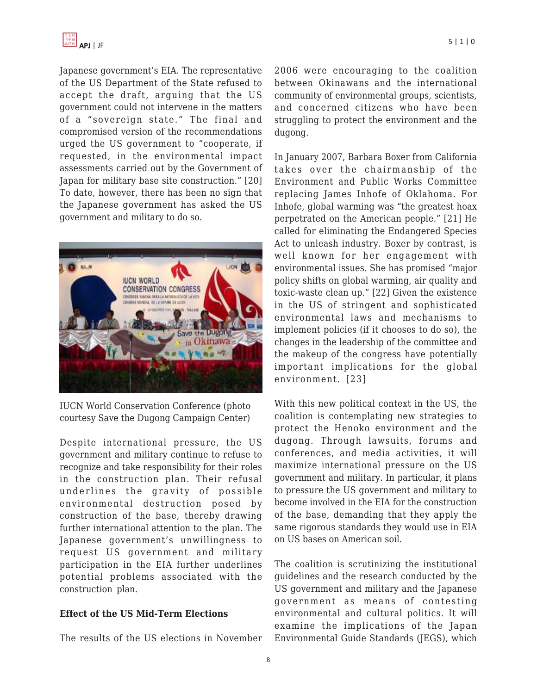Japanese government's EIA. The representative of the US Department of the State refused to accept the draft, arguing that the US government could not intervene in the matters of a "sovereign state." The final and compromised version of the recommendations urged the US government to "cooperate, if requested, in the environmental impact assessments carried out by the Government of Japan for military base site construction." [20] To date, however, there has been no sign that the Japanese government has asked the US government and military to do so.



IUCN World Conservation Conference (photo courtesy Save the Dugong Campaign Center)

Despite international pressure, the US government and military continue to refuse to recognize and take responsibility for their roles in the construction plan. Their refusal underlines the gravity of possible environmental destruction posed by construction of the base, thereby drawing further international attention to the plan. The Japanese government's unwillingness to request US government and military participation in the EIA further underlines potential problems associated with the construction plan.

#### **Effect of the US Mid-Term Elections**

The results of the US elections in November

2006 were encouraging to the coalition between Okinawans and the international community of environmental groups, scientists, and concerned citizens who have been struggling to protect the environment and the dugong.

In January 2007, Barbara Boxer from California takes over the chairmanship of the Environment and Public Works Committee replacing James Inhofe of Oklahoma. For Inhofe, global warming was "the greatest hoax perpetrated on the American people." [21] He called for eliminating the Endangered Species Act to unleash industry. Boxer by contrast, is well known for her engagement with environmental issues. She has promised "major policy shifts on global warming, air quality and toxic-waste clean up." [22] Given the existence in the US of stringent and sophisticated environmental laws and mechanisms to implement policies (if it chooses to do so), the changes in the leadership of the committee and the makeup of the congress have potentially important implications for the global environment. [23]

With this new political context in the US, the coalition is contemplating new strategies to protect the Henoko environment and the dugong. Through lawsuits, forums and conferences, and media activities, it will maximize international pressure on the US government and military. In particular, it plans to pressure the US government and military to become involved in the EIA for the construction of the base, demanding that they apply the same rigorous standards they would use in EIA on US bases on American soil.

The coalition is scrutinizing the institutional guidelines and the research conducted by the US government and military and the Japanese government as means of contesting environmental and cultural politics. It will examine the implications of the Japan Environmental Guide Standards (JEGS), which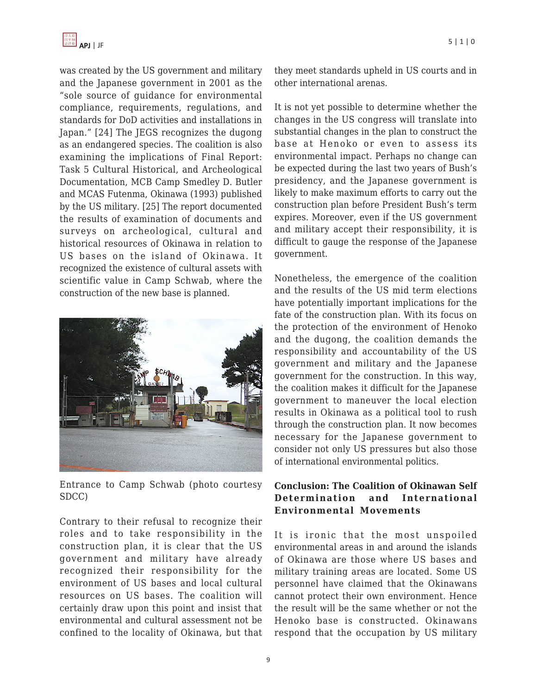

was created by the US government and military and the Japanese government in 2001 as the "sole source of guidance for environmental compliance, requirements, regulations, and standards for DoD activities and installations in Japan." [24] The JEGS recognizes the dugong as an endangered species. The coalition is also examining the implications of Final Report: Task 5 Cultural Historical, and Archeological Documentation, MCB Camp Smedley D. Butler and MCAS Futenma, Okinawa (1993) published by the US military. [25] The report documented the results of examination of documents and surveys on archeological, cultural and historical resources of Okinawa in relation to US bases on the island of Okinawa. It recognized the existence of cultural assets with scientific value in Camp Schwab, where the construction of the new base is planned.



Entrance to Camp Schwab (photo courtesy SDCC)

Contrary to their refusal to recognize their roles and to take responsibility in the construction plan, it is clear that the US government and military have already recognized their responsibility for the environment of US bases and local cultural resources on US bases. The coalition will certainly draw upon this point and insist that environmental and cultural assessment not be confined to the locality of Okinawa, but that they meet standards upheld in US courts and in other international arenas.

It is not yet possible to determine whether the changes in the US congress will translate into substantial changes in the plan to construct the base at Henoko or even to assess its environmental impact. Perhaps no change can be expected during the last two years of Bush's presidency, and the Japanese government is likely to make maximum efforts to carry out the construction plan before President Bush's term expires. Moreover, even if the US government and military accept their responsibility, it is difficult to gauge the response of the Japanese government.

Nonetheless, the emergence of the coalition and the results of the US mid term elections have potentially important implications for the fate of the construction plan. With its focus on the protection of the environment of Henoko and the dugong, the coalition demands the responsibility and accountability of the US government and military and the Japanese government for the construction. In this way, the coalition makes it difficult for the Japanese government to maneuver the local election results in Okinawa as a political tool to rush through the construction plan. It now becomes necessary for the Japanese government to consider not only US pressures but also those of international environmental politics.

#### **Conclusion: The Coalition of Okinawan Self Determination and International Environmental Movements**

It is ironic that the most unspoiled environmental areas in and around the islands of Okinawa are those where US bases and military training areas are located. Some US personnel have claimed that the Okinawans cannot protect their own environment. Hence the result will be the same whether or not the Henoko base is constructed. Okinawans respond that the occupation by US military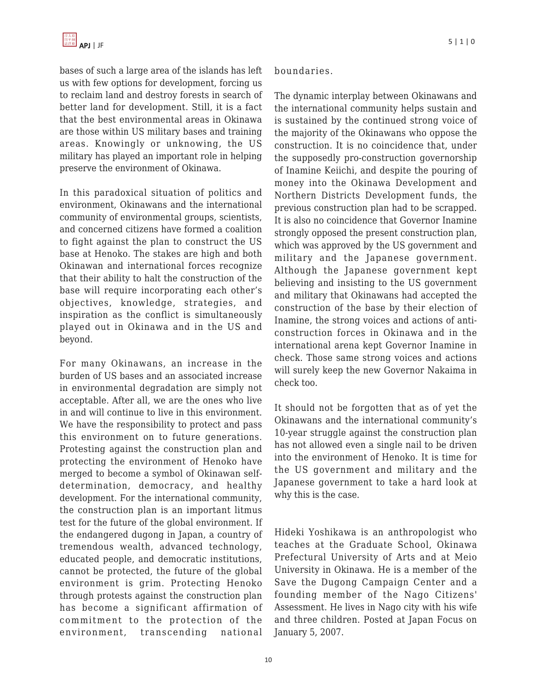

bases of such a large area of the islands has left us with few options for development, forcing us to reclaim land and destroy forests in search of better land for development. Still, it is a fact that the best environmental areas in Okinawa are those within US military bases and training areas. Knowingly or unknowing, the US military has played an important role in helping preserve the environment of Okinawa.

In this paradoxical situation of politics and environment, Okinawans and the international community of environmental groups, scientists, and concerned citizens have formed a coalition to fight against the plan to construct the US base at Henoko. The stakes are high and both Okinawan and international forces recognize that their ability to halt the construction of the base will require incorporating each other's objectives, knowledge, strategies, and inspiration as the conflict is simultaneously played out in Okinawa and in the US and beyond.

For many Okinawans, an increase in the burden of US bases and an associated increase in environmental degradation are simply not acceptable. After all, we are the ones who live in and will continue to live in this environment. We have the responsibility to protect and pass this environment on to future generations. Protesting against the construction plan and protecting the environment of Henoko have merged to become a symbol of Okinawan selfdetermination, democracy, and healthy development. For the international community, the construction plan is an important litmus test for the future of the global environment. If the endangered dugong in Japan, a country of tremendous wealth, advanced technology, educated people, and democratic institutions, cannot be protected, the future of the global environment is grim. Protecting Henoko through protests against the construction plan has become a significant affirmation of commitment to the protection of the environment, transcending national

#### boundaries.

The dynamic interplay between Okinawans and the international community helps sustain and is sustained by the continued strong voice of the majority of the Okinawans who oppose the construction. It is no coincidence that, under the supposedly pro-construction governorship of Inamine Keiichi, and despite the pouring of money into the Okinawa Development and Northern Districts Development funds, the previous construction plan had to be scrapped. It is also no coincidence that Governor Inamine strongly opposed the present construction plan, which was approved by the US government and military and the Japanese government. Although the Japanese government kept believing and insisting to the US government and military that Okinawans had accepted the construction of the base by their election of Inamine, the strong voices and actions of anticonstruction forces in Okinawa and in the international arena kept Governor Inamine in check. Those same strong voices and actions will surely keep the new Governor Nakaima in check too.

It should not be forgotten that as of yet the Okinawans and the international community's 10-year struggle against the construction plan has not allowed even a single nail to be driven into the environment of Henoko. It is time for the US government and military and the Japanese government to take a hard look at why this is the case.

Hideki Yoshikawa is an anthropologist who teaches at the Graduate School, Okinawa Prefectural University of Arts and at Meio University in Okinawa. He is a member of the Save the Dugong Campaign Center and a founding member of the Nago Citizens' Assessment. He lives in Nago city with his wife and three children. Posted at Japan Focus on January 5, 2007.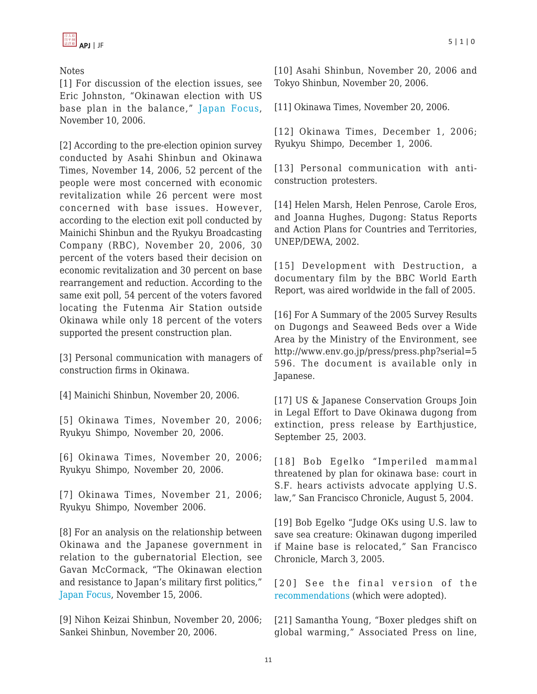## Notes

[1] For discussion of the election issues, see Eric Johnston, "Okinawan election with US base plan in the balance," [Japan Focus,](http://japanfocus.org/products/details/2269) November 10, 2006.

[2] According to the pre-election opinion survey conducted by Asahi Shinbun and Okinawa Times, November 14, 2006, 52 percent of the people were most concerned with economic revitalization while 26 percent were most concerned with base issues. However, according to the election exit poll conducted by Mainichi Shinbun and the Ryukyu Broadcasting Company (RBC), November 20, 2006, 30 percent of the voters based their decision on economic revitalization and 30 percent on base rearrangement and reduction. According to the same exit poll, 54 percent of the voters favored locating the Futenma Air Station outside Okinawa while only 18 percent of the voters supported the present construction plan.

[3] Personal communication with managers of construction firms in Okinawa.

[4] Mainichi Shinbun, November 20, 2006.

[5] Okinawa Times, November 20, 2006; Ryukyu Shimpo, November 20, 2006.

[6] Okinawa Times, November 20, 2006; Ryukyu Shimpo, November 20, 2006.

[7] Okinawa Times, November 21, 2006; Ryukyu Shimpo, November 2006.

[8] For an analysis on the relationship between Okinawa and the Japanese government in relation to the gubernatorial Election, see Gavan McCormack, "The Okinawan election and resistance to Japan's military first politics," [Japan Focus,](http://japanfocus.org/products/details/2275) November 15, 2006.

[9] Nihon Keizai Shinbun, November 20, 2006; Sankei Shinbun, November 20, 2006.

[10] Asahi Shinbun, November 20, 2006 and Tokyo Shinbun, November 20, 2006.

[11] Okinawa Times, November 20, 2006.

[12] Okinawa Times, December 1, 2006; Ryukyu Shimpo, December 1, 2006.

[13] Personal communication with anticonstruction protesters.

[14] Helen Marsh, Helen Penrose, Carole Eros, and Joanna Hughes, Dugong: Status Reports and Action Plans for Countries and Territories, UNEP/DEWA, 2002.

[15] Development with Destruction, a documentary film by the BBC World Earth Report, was aired worldwide in the fall of 2005.

[16] For A Summary of the 2005 Survey Results on Dugongs and Seaweed Beds over a Wide Area by the Ministry of the Environment, see http://www.env.go.jp/press/press.php?serial=5 596. The document is available only in Japanese.

[17] US & Japanese Conservation Groups Join in Legal Effort to Dave Okinawa dugong from extinction, press release by Earthjustice, September 25, 2003.

[18] Bob Egelko "Imperiled mammal threatened by plan for okinawa base: court in S.F. hears activists advocate applying U.S. law," San Francisco Chronicle, August 5, 2004.

[19] Bob Egelko "Judge OKs using U.S. law to save sea creature: Okinawan dugong imperiled if Maine base is relocated," San Francisco Chronicle, March 3, 2005.

[20] See the final version of the [recommendations](http://www.uicn.org/congress/members/Individual_Res_Rec_Eng/WCC3%20REC%20114%20Conservation%20of%20dugong%20Dugong%20dugon,%20Okinawa.pdf.) (which were adopted).

[21] Samantha Young, "Boxer pledges shift on global warming," Associated Press on line,